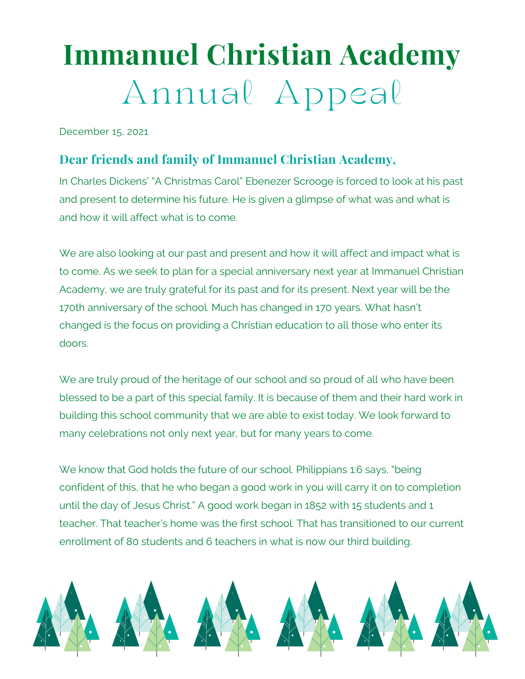## **Immanuel Christian Academy** Annual Appeal

December 15, 2021

## **Dear friends and family of Immanuel Christian Academy,**

In Charles Dickens' "A Christmas Carol" Ebenezer Scrooge is forced to look at his past and present to determine his future. He is given a glimpse of what was and what is and how it will affect what is to come.

We are also looking at our past and present and how it will affect and impact what is to come. As we seek to plan for a special anniversary next year at Immanuel Christian Academy, we are truly grateful for its past and for its present. Next year will be the 170th anniversary of the school. Much has changed in 170 years. What hasn't changed is the focus on providing a Christian education to all those who enter its doors.

We are truly proud of the heritage of our school and so proud of all who have been blessed to be a part of this special family. It is because of them and their hard work in building this school community that we are able to exist today. We look forward to many celebrations not only next year, but for many years to come.

We know that God holds the future of our school. Philippians 1:6 says, "being confident of this, that he who began a good work in you will carry it on to completion until the day of Jesus Christ." A good work began in 1852 with 15 students and 1 teacher. That teacher's home was the first school. That has transitioned to our current enrollment of 80 students and 6 teachers in what is now our third building.